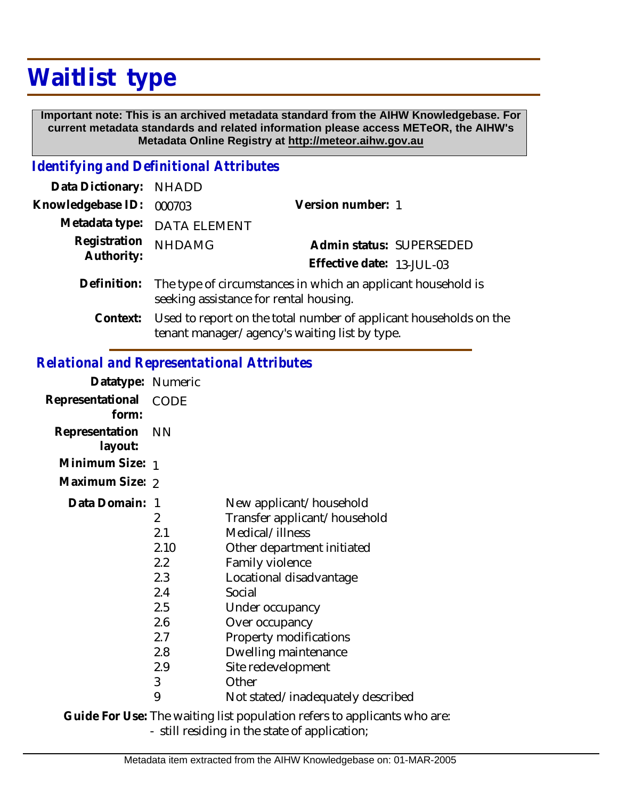## **Waitlist type**

 **Important note: This is an archived metadata standard from the AIHW Knowledgebase. For current metadata standards and related information please access METeOR, the AIHW's Metadata Online Registry at http://meteor.aihw.gov.au**

## *Identifying and Definitional Attributes*

| Data Dictionary: NHADD     |                                                                                                                    |                           |                          |
|----------------------------|--------------------------------------------------------------------------------------------------------------------|---------------------------|--------------------------|
| Knowledgebase ID:          | 000703                                                                                                             | Version number: 1         |                          |
|                            | Metadata type: DATA ELEMENT                                                                                        |                           |                          |
| Registration<br>Authority: | <b>NHDAMG</b>                                                                                                      |                           | Admin status: SUPERSEDED |
|                            |                                                                                                                    | Effective date: 13-JUL-03 |                          |
|                            | Definition: The type of circumstances in which an applicant household is<br>seeking assistance for rental housing. |                           |                          |
| Context:                   | Used to report on the total number of applicant households on the                                                  |                           |                          |

tenant manager/agency's waiting list by type.

## *Relational and Representational Attributes*

| <b>CODE</b><br>form:<br>Representation<br>– NN<br>layout:<br>Minimum Size: 1<br>Maximum Size: 2<br>Data Domain:<br>New applicant/household<br>-1<br>Transfer applicant/household<br>2<br>2.1<br>Medical/illness<br>2.10<br>Other department initiated<br>2.2<br>Family violence<br>2.3<br>Locational disadvantage<br>2.4<br>Social<br>2.5<br>Under occupancy<br>2.6<br>Over occupancy<br>2.7<br>Property modifications<br>2.8<br>Dwelling maintenance<br>2.9<br>Site redevelopment<br>3<br>Other<br>9<br>Not stated/inadequately described | Datatype: Numeric |  |
|--------------------------------------------------------------------------------------------------------------------------------------------------------------------------------------------------------------------------------------------------------------------------------------------------------------------------------------------------------------------------------------------------------------------------------------------------------------------------------------------------------------------------------------------|-------------------|--|
|                                                                                                                                                                                                                                                                                                                                                                                                                                                                                                                                            | Representational  |  |
|                                                                                                                                                                                                                                                                                                                                                                                                                                                                                                                                            |                   |  |
|                                                                                                                                                                                                                                                                                                                                                                                                                                                                                                                                            |                   |  |
|                                                                                                                                                                                                                                                                                                                                                                                                                                                                                                                                            |                   |  |
|                                                                                                                                                                                                                                                                                                                                                                                                                                                                                                                                            |                   |  |
|                                                                                                                                                                                                                                                                                                                                                                                                                                                                                                                                            |                   |  |

Guide For Use: The waiting list population refers to applicants who are:

- still residing in the state of application;